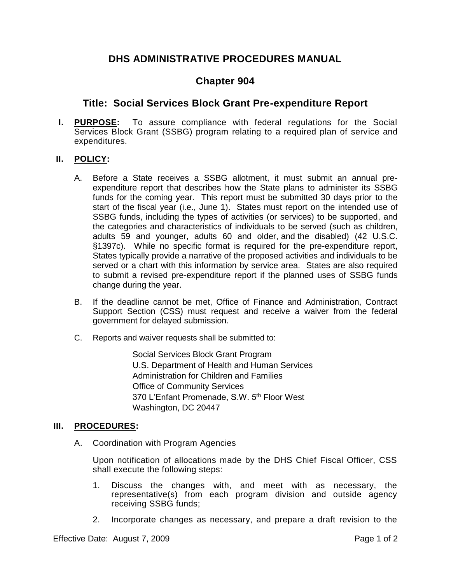# **DHS ADMINISTRATIVE PROCEDURES MANUAL**

# **Chapter 904**

## **Title: Social Services Block Grant Pre-expenditure Report**

**I. PURPOSE:** To assure compliance with federal regulations for the Social Services Block Grant (SSBG) program relating to a required plan of service and expenditures.

### **II. POLICY:**

- A. Before a State receives a SSBG allotment, it must submit an annual preexpenditure report that describes how the State plans to administer its SSBG funds for the coming year. This report must be submitted 30 days prior to the start of the fiscal year (i.e., June 1). States must report on the intended use of SSBG funds, including the types of activities (or services) to be supported, and the categories and characteristics of individuals to be served (such as children, adults 59 and younger, adults 60 and older, and the disabled) (42 U.S.C. §1397c). While no specific format is required for the pre-expenditure report, States typically provide a narrative of the proposed activities and individuals to be served or a chart with this information by service area. States are also required to submit a revised pre-expenditure report if the planned uses of SSBG funds change during the year.
- B. If the deadline cannot be met, Office of Finance and Administration, Contract Support Section (CSS) must request and receive a waiver from the federal government for delayed submission.
- C. Reports and waiver requests shall be submitted to:

Social Services Block Grant Program U.S. Department of Health and Human Services Administration for Children and Families Office of Community Services 370 L'Enfant Promenade, S.W. 5th Floor West Washington, DC 20447

#### **III. PROCEDURES:**

A. Coordination with Program Agencies

Upon notification of allocations made by the DHS Chief Fiscal Officer, CSS shall execute the following steps:

- 1. Discuss the changes with, and meet with as necessary, the representative(s) from each program division and outside agency receiving SSBG funds;
- 2. Incorporate changes as necessary, and prepare a draft revision to the